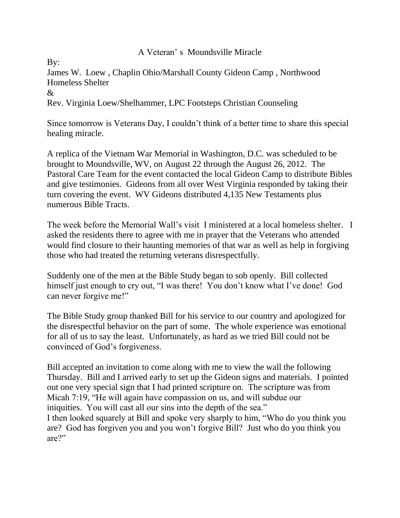## A Veteran' s Moundsville Miracle

By:

James W. Loew , Chaplin Ohio/Marshall County Gideon Camp , Northwood Homeless Shelter &

Rev. Virginia Loew/Shelhammer, LPC Footsteps Christian Counseling

Since tomorrow is Veterans Day, I couldn't think of a better time to share this special healing miracle.

A replica of the Vietnam War Memorial in Washington, D.C. was scheduled to be brought to Moundsville, WV, on August 22 through the August 26, 2012. The Pastoral Care Team for the event contacted the local Gideon Camp to distribute Bibles and give testimonies. Gideons from all over West Virginia responded by taking their turn covering the event. WV Gideons distributed 4,135 New Testaments plus numerous Bible Tracts.

The week before the Memorial Wall's visit I ministered at a local homeless shelter. I asked the residents there to agree with me in prayer that the Veterans who attended would find closure to their haunting memories of that war as well as help in forgiving those who had treated the returning veterans disrespectfully.

Suddenly one of the men at the Bible Study began to sob openly. Bill collected himself just enough to cry out, "I was there! You don't know what I've done! God can never forgive me!"

The Bible Study group thanked Bill for his service to our country and apologized for the disrespectful behavior on the part of some. The whole experience was emotional for all of us to say the least. Unfortunately, as hard as we tried Bill could not be convinced of God's forgiveness.

Bill accepted an invitation to come along with me to view the wall the following Thursday. Bill and I arrived early to set up the Gideon signs and materials. I pointed out one very special sign that I had printed scripture on. The scripture was from Micah 7:19, "He will again have compassion on us, and will subdue our iniquities. You will cast all our sins into the depth of the sea."

I then looked squarely at Bill and spoke very sharply to him, "Who do you think you are? God has forgiven you and you won't forgive Bill? Just who do you think you are?"